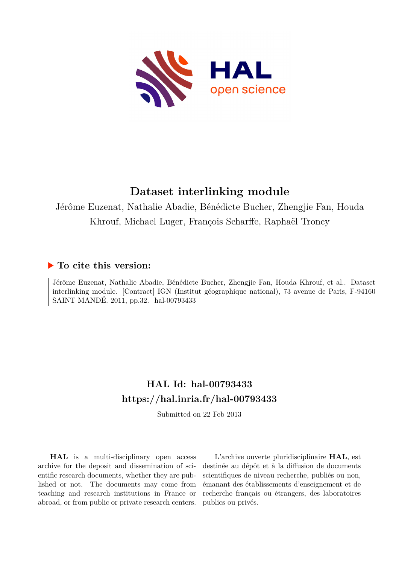

## **Dataset interlinking module**

Jérôme Euzenat, Nathalie Abadie, Bénédicte Bucher, Zhengjie Fan, Houda Khrouf, Michael Luger, François Scharffe, Raphaël Troncy

### **To cite this version:**

Jérôme Euzenat, Nathalie Abadie, Bénédicte Bucher, Zhengjie Fan, Houda Khrouf, et al.. Dataset interlinking module. [Contract] IGN (Institut géographique national), 73 avenue de Paris, F-94160 SAINT MANDÉ. 2011, pp.32. hal-00793433

### **HAL Id: hal-00793433 <https://hal.inria.fr/hal-00793433>**

Submitted on 22 Feb 2013

**HAL** is a multi-disciplinary open access archive for the deposit and dissemination of scientific research documents, whether they are published or not. The documents may come from teaching and research institutions in France or abroad, or from public or private research centers.

L'archive ouverte pluridisciplinaire **HAL**, est destinée au dépôt et à la diffusion de documents scientifiques de niveau recherche, publiés ou non, émanant des établissements d'enseignement et de recherche français ou étrangers, des laboratoires publics ou privés.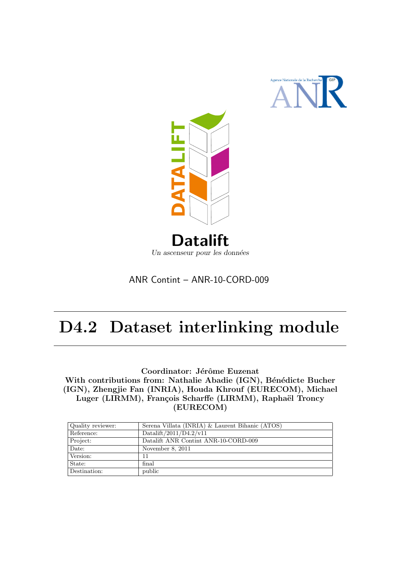



### ANR Contint – ANR-10-CORD-009

# D4.2 Dataset interlinking module

Coordinator: Jérôme Euzenat With contributions from: Nathalie Abadie (IGN), Bénédicte Bucher (IGN), Zhengjie Fan (INRIA), Houda Khrouf (EURECOM), Michael Luger (LIRMM), François Scharffe (LIRMM), Raphaël Troncy (EURECOM)

| Quality reviewer: | Serena Villata (INRIA) & Laurent Bihanic (ATOS) |
|-------------------|-------------------------------------------------|
| Reference:        | Datalift/2011/D4.2/v11                          |
| Project:          | Datalift ANR Contint ANR-10-CORD-009            |
| Date:             | November 8, 2011                                |
| Version:          | 11                                              |
| State:            | final                                           |
| Destination:      | public                                          |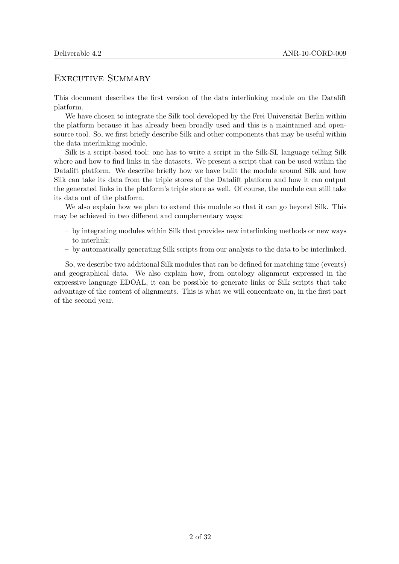#### EXECUTIVE SUMMARY

This document describes the first version of the data interlinking module on the Datalift platform.

We have chosen to integrate the Silk tool developed by the Frei Universität Berlin within the platform because it has already been broadly used and this is a maintained and opensource tool. So, we first briefly describe Silk and other components that may be useful within the data interlinking module.

Silk is a script-based tool: one has to write a script in the Silk-SL language telling Silk where and how to find links in the datasets. We present a script that can be used within the Datalift platform. We describe briefly how we have built the module around Silk and how Silk can take its data from the triple stores of the Datalift platform and how it can output the generated links in the platform's triple store as well. Of course, the module can still take its data out of the platform.

We also explain how we plan to extend this module so that it can go beyond Silk. This may be achieved in two different and complementary ways:

- by integrating modules within Silk that provides new interlinking methods or new ways to interlink;
- by automatically generating Silk scripts from our analysis to the data to be interlinked.

So, we describe two additional Silk modules that can be defined for matching time (events) and geographical data. We also explain how, from ontology alignment expressed in the expressive language EDOAL, it can be possible to generate links or Silk scripts that take advantage of the content of alignments. This is what we will concentrate on, in the first part of the second year.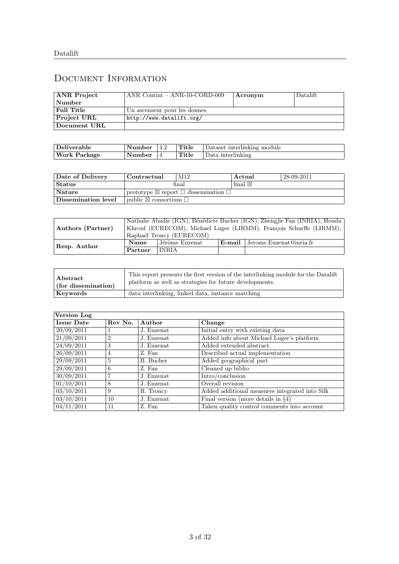### Document Information

| <b>ANR</b> Project | ANR Contint $-$ ANR-10-CORD-009 | Acronym | Datalift. |
|--------------------|---------------------------------|---------|-----------|
| Number             |                                 |         |           |
| Full Title         | Un ascenseur pour les donnes    |         |           |
| <b>Project URL</b> | http://www.datalift.org/        |         |           |
| Document URL       |                                 |         |           |

| Deliverable  | Number | -4.2 | Title | Dataset interlinking module |
|--------------|--------|------|-------|-----------------------------|
| Work Package | Number |      | Title | Data interlinking           |

| Date of Delivery            | Contractual                                 | M <sub>12</sub>                                                | Actual            | 28-09-2011 |
|-----------------------------|---------------------------------------------|----------------------------------------------------------------|-------------------|------------|
| $ \operatorname{Status} $   |                                             | final                                                          | final $\boxtimes$ |            |
| $\sqrt{\phantom{a}}$ Nature |                                             | prototype $\boxtimes$ report $\square$ dissemination $\square$ |                   |            |
| $\mid$ Dissemination level  | $\Box$ bublic $\boxtimes$ consortium $\Box$ |                                                                |                   |            |

| Authors (Partner) |         |                          | Nathalie Abadie (IGN), Bénédicte Bucher (IGN), Zhengjie Fan (INRIA), Houda<br>Khrouf (EURECOM), Michael Luger (LIRMM), François Scharffe (LIRMM), |
|-------------------|---------|--------------------------|---------------------------------------------------------------------------------------------------------------------------------------------------|
|                   |         | Raphaël Troncy (EURECOM) |                                                                                                                                                   |
| Resp. Author      | Name    | Jérôme Euzenat           | $E$ -mail Jerome.Euzenat@inria.fr                                                                                                                 |
|                   | Partner | <b>INRIA</b>             |                                                                                                                                                   |

| Abstract            | This report presents the first version of the interlinking module for the Datalift |
|---------------------|------------------------------------------------------------------------------------|
| (for dissemination) | platform as well as strategies for future developments.                            |
| Keywords            | data interlinking, linked data, instance matching                                  |

| Version Log           |              |            |                                                |
|-----------------------|--------------|------------|------------------------------------------------|
| <b>Issue Date</b>     | Rev No.      | Author     | Change                                         |
| 20/09/2011            | $\mathbf{I}$ | J. Euzenat | Initial entry with existing data               |
| 21/09/2011            | 2            | J. Euzenat | Added info about Michael Luger's platform      |
| 24/09/2011            | 3            | J. Euzenat | Added extended abstract                        |
| 26/09/2011            | 4            | Z. Fan     | Described actual implementation                |
| 29/09/2011            | 5            | B. Bucher  | Added geographical part                        |
| 29/09/2011            | 6            | Z. Fan     | Cleaned up biblio                              |
| 30/09/2011            |              | J. Euzenat | Intro/conclusion                               |
| 01/10/2011            | 8            | J. Euzenat | Overall revision                               |
| $\frac{03}{10}{2011}$ | 9            | R. Troncy  | Added additional measures integrated into Silk |
| 03/10/2011            | 10           | J. Euzenat | Final version (more details in $\S4$ )         |
| 04/11/2011            | 11           | Z. Fan     | Taken quality control comments into account    |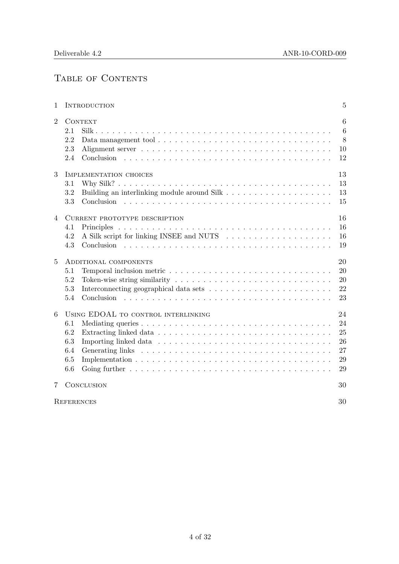### TABLE OF CONTENTS

| 1              | <b>INTRODUCTION</b>                                                           | 5                                      |
|----------------|-------------------------------------------------------------------------------|----------------------------------------|
| $\overline{2}$ | <b>CONTEXT</b><br>2.1<br>2.2<br>Data management tool<br>2.3<br>2.4            | 6<br>$6\phantom{.}6$<br>8<br>10<br>12  |
| 3              | IMPLEMENTATION CHOICES<br>3.1<br>3.2<br>3.3                                   | 13<br>13<br>13<br>15                   |
| $\overline{4}$ | CURRENT PROTOTYPE DESCRIPTION<br>4.1<br>4.2<br>4.3                            | 16<br>16<br>16<br>19                   |
| $\overline{5}$ | ADDITIONAL COMPONENTS<br>5.1<br>5.2<br>5.3<br>5.4<br>Conclusion               | 20<br>20<br>20<br>22<br>23             |
| 6              | USING EDOAL TO CONTROL INTERLINKING<br>6.1<br>6.2<br>6.3<br>6.4<br>6.5<br>6.6 | 24<br>24<br>25<br>26<br>27<br>29<br>29 |
| 7              | <b>CONCLUSION</b>                                                             | 30                                     |
|                | <b>REFERENCES</b>                                                             | 30                                     |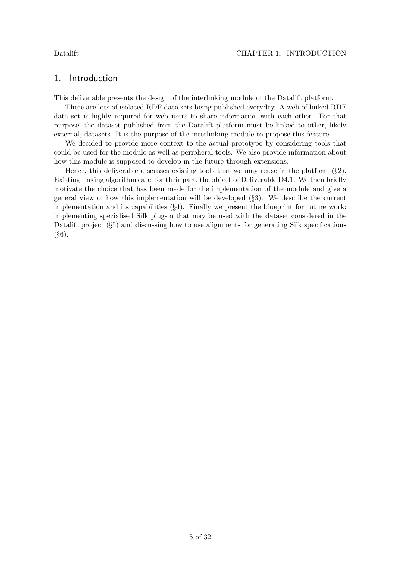#### 1. Introduction

This deliverable presents the design of the interlinking module of the Datalift platform.

There are lots of isolated RDF data sets being published everyday. A web of linked RDF data set is highly required for web users to share information with each other. For that purpose, the dataset published from the Datalift platform must be linked to other, likely external, datasets. It is the purpose of the interlinking module to propose this feature.

We decided to provide more context to the actual prototype by considering tools that could be used for the module as well as peripheral tools. We also provide information about how this module is supposed to develop in the future through extensions.

Hence, this deliverable discusses existing tools that we may reuse in the platform  $(\S2)$ . Existing linking algorithms are, for their part, the object of Deliverable D4.1. We then briefly motivate the choice that has been made for the implementation of the module and give a general view of how this implementation will be developed (§3). We describe the current implementation and its capabilities (§4). Finally we present the blueprint for future work: implementing specialised Silk plug-in that may be used with the dataset considered in the Datalift project  $(\S$ 5) and discussing how to use alignments for generating Silk specifications  $(§6).$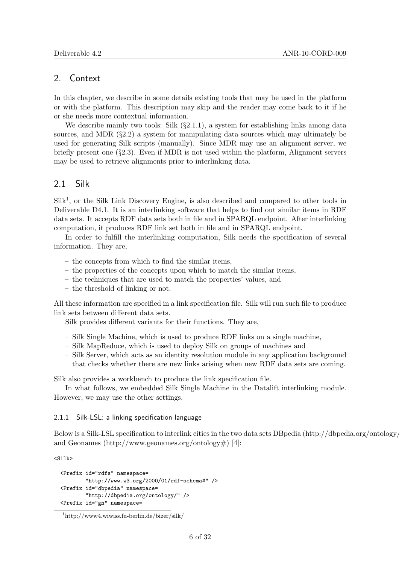#### 2. Context

In this chapter, we describe in some details existing tools that may be used in the platform or with the platform. This description may skip and the reader may come back to it if he or she needs more contextual information.

We describe mainly two tools: Silk  $(\S2.1.1)$ , a system for establishing links among data sources, and MDR  $(\S2.2)$  a system for manipulating data sources which may ultimately be used for generating Silk scripts (manually). Since MDR may use an alignment server, we briefly present one (§2.3). Even if MDR is not used within the platform, Alignment servers may be used to retrieve alignments prior to interlinking data.

#### 2.1 Silk

 $Silk<sup>1</sup>$ , or the Silk Link Discovery Engine, is also described and compared to other tools in Deliverable D4.1. It is an interlinking software that helps to find out similar items in RDF data sets. It accepts RDF data sets both in file and in SPARQL endpoint. After interlinking computation, it produces RDF link set both in file and in SPARQL endpoint.

In order to fulfill the interlinking computation, Silk needs the specification of several information. They are,

- the concepts from which to find the similar items,
- the properties of the concepts upon which to match the similar items,
- the techniques that are used to match the properties' values, and
- the threshold of linking or not.

All these information are specified in a link specification file. Silk will run such file to produce link sets between different data sets.

Silk provides different variants for their functions. They are,

- Silk Single Machine, which is used to produce RDF links on a single machine,
- Silk MapReduce, which is used to deploy Silk on groups of machines and
- Silk Server, which acts as an identity resolution module in any application background that checks whether there are new links arising when new RDF data sets are coming.

Silk also provides a workbench to produce the link specification file.

In what follows, we embedded Silk Single Machine in the Datalift interlinking module. However, we may use the other settings.

#### 2.1.1 Silk-LSL: a linking specification language

Below is a Silk-LSL specification to interlink cities in the two data sets DBpedia (http://dbpedia.org/ontology/) and Geonames (http://www.geonames.org/ontology#) [4]:

<Silk>

```
<Prefix id="rdfs" namespace=
        "http://www.w3.org/2000/01/rdf-schema#" />
<Prefix id="dbpedia" namespace=
        "http://dbpedia.org/ontology/" />
<Prefix id="gn" namespace=
```
<sup>1</sup>http://www4.wiwiss.fu-berlin.de/bizer/silk/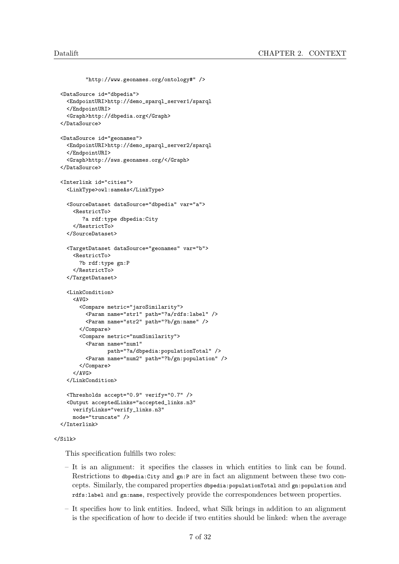```
"http://www.geonames.org/ontology#" />
<DataSource id="dbpedia">
  <EndpointURI>http://demo_sparql_server1/sparql
  </EndpointURI>
  <Graph>http://dbpedia.org</Graph>
</DataSource>
<DataSource id="geonames">
  <EndpointURI>http://demo_sparql_server2/sparql
  </EndpointURI>
  <Graph>http://sws.geonames.org/</Graph>
</DataSource>
<Interlink id="cities">
  <LinkType>owl:sameAs</LinkType>
  <SourceDataset dataSource="dbpedia" var="a">
    <RestrictTo>
       ?a rdf:type dbpedia:City
    </RestrictTo>
  </SourceDataset>
  <TargetDataset dataSource="geonames" var="b">
    <RestrictTo>
     ?b rdf:type gn:P
    </RestrictTo>
  </TargetDataset>
  <LinkCondition>
    < AVG><Compare metric="jaroSimilarity">
        <Param name="str1" path="?a/rdfs:label" />
        <Param name="str2" path="?b/gn:name" />
      </Compare>
      <Compare metric="numSimilarity">
        <Param name="num1"
              path="?a/dbpedia:populationTotal" />
        <Param name="num2" path="?b/gn:population" />
      </Compare>
    </AVG>
  </LinkCondition>
  <Thresholds accept="0.9" verify="0.7" />
  <Output acceptedLinks="accepted_links.n3"
    verifyLinks="verify_links.n3"
   mode="truncate" />
</Interlink>
```
#### $\langle$ /Silk>

This specification fulfills two roles:

- It is an alignment: it specifies the classes in which entities to link can be found. Restrictions to dbpedia:City and gn:P are in fact an alignment between these two concepts. Similarly, the compared properties dbpedia:populationTotal and gn:population and rdfs:label and gn:name, respectively provide the correspondences between properties.
- It specifies how to link entities. Indeed, what Silk brings in addition to an alignment is the specification of how to decide if two entities should be linked: when the average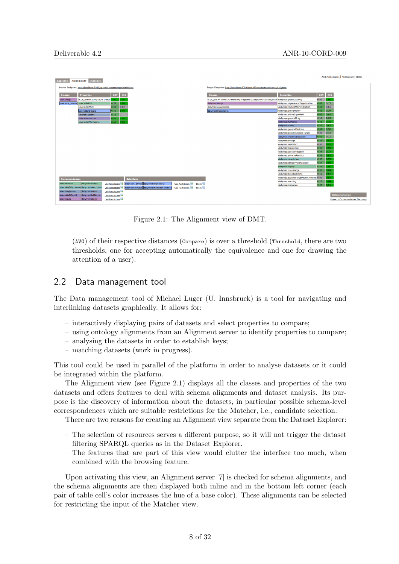| <b>Matcher</b><br><b>Alignments</b><br><b>Explorer</b>                                                                                                 |                                                                                           |                                           |                   | Add Namespaces   Alignments   Home        |
|--------------------------------------------------------------------------------------------------------------------------------------------------------|-------------------------------------------------------------------------------------------|-------------------------------------------|-------------------|-------------------------------------------|
| Source Endpoint: http://localhost:8080/openrdf-sesame/repositories/test                                                                                | Target Endpoint: http://localhost:8080/openrdf-sesame/repositories/dailymed               |                                           |                   |                                           |
| <b>DIS</b><br>cov<br><b>Properties</b><br><b>Classes</b>                                                                                               | <b>Classes</b>                                                                            | <b>Properties</b>                         | <b>DIS</b><br>cov |                                           |
| http://xmlns.com/foaf/0.1/page<br>1.00 <sub>1</sub><br>00.1<br>sider:drugs                                                                             | http://www4.wiwiss.fu-berlin.de/drugbank/vocab/resource/class/Offer dailymed:producesDrug |                                           | 0.07<br>.00.      |                                           |
| 0.35<br>sider:stitchId<br>00.<br>sider:side_effects                                                                                                    | dailymed:drugs                                                                            | dailymed:representedOrganization          | 0.17<br>0.43      |                                           |
| 0.02<br>sider:sideEffect<br>0.33                                                                                                                       | dailymed:organization                                                                     | dailymed:routeOfAdministration            | 0.43<br>0.01      |                                           |
| 0.35<br>00<br>sider:siderDrugId                                                                                                                        | dailymed:ingredients                                                                      | dailymed:activeMolety                     | 0.39<br>0.43      |                                           |
| 0.35<br>sider:drugName                                                                                                                                 |                                                                                           | dailymed:activeIngredient                 | 0.45<br>0.43      |                                           |
| 0.65<br>00.<br>sider:sideEffectId                                                                                                                      |                                                                                           | dailymed:genericDrug                      | 0.33<br>0.16      |                                           |
| 0.65<br>.00.<br>sider:sideEffectName                                                                                                                   |                                                                                           | dailymed:fullName                         | 0.76<br>0.43      |                                           |
|                                                                                                                                                        |                                                                                           | dailymed:name                             | 0.62<br>0.43      |                                           |
|                                                                                                                                                        |                                                                                           | dailymed:genericMedicine                  | 0.50<br>0.43      |                                           |
|                                                                                                                                                        |                                                                                           | dailymed:possibleDiseaseTarget            | 0.12<br>0.09      |                                           |
|                                                                                                                                                        |                                                                                           | dailymed:inactiveIngredient               | 0.42<br>0.11      |                                           |
|                                                                                                                                                        |                                                                                           | dailymed:dosage                           | 0.38<br>.97       |                                           |
|                                                                                                                                                        |                                                                                           | dailymed:sideEffect                       | 0.00<br>0.91      |                                           |
|                                                                                                                                                        |                                                                                           | dailymed:precaution                       | 0.99<br>0.32      |                                           |
|                                                                                                                                                        |                                                                                           | dailymed:contraindication                 | 0.34<br>0.77      |                                           |
|                                                                                                                                                        |                                                                                           | dailymed:adverseReaction                  | 0.38<br>0.93      |                                           |
|                                                                                                                                                        |                                                                                           | dailymed:description                      | 0.37<br>0.99      |                                           |
|                                                                                                                                                        |                                                                                           | dailymed:clinicalPharmacology             | 0.37<br>.96       |                                           |
|                                                                                                                                                        |                                                                                           | dailymed:supply                           | 0.38<br>.00.      |                                           |
|                                                                                                                                                        |                                                                                           | dailymed:overdosage                       | 0.31<br>0.84      |                                           |
|                                                                                                                                                        |                                                                                           | dailymed:boxedWarning                     | .87<br>0.12       |                                           |
| <b>Selections</b><br><b>Correspondences</b>                                                                                                            |                                                                                           | dailymed:supplementalPatientMaterial 0.00 | .93               |                                           |
| sider:stitchId<br>dailymed:supply                                                                                                                      |                                                                                           | dailymed:warning                          | 0.27<br>0.94      |                                           |
| Use Restriction<br>Store <sub>1</sub><br>sider:side_effects dailymed:ingredients<br>Use Restriction                                                    |                                                                                           | dailymed:indication                       | 0.37<br>0.91      |                                           |
| Store <sub>1</sub><br>sider:sideEffectName dailymed:description<br>Use Restriction<br>Use Restriction<br>sider:siderDrugId dailymed:inactiveIngredient |                                                                                           |                                           |                   |                                           |
| sider:drugName<br>dailymed:name<br><b>Use Restriction</b>                                                                                              |                                                                                           |                                           |                   |                                           |
| sider:sideEffectId<br>dailymed:fullName<br>Use Restriction                                                                                             |                                                                                           |                                           |                   | <b>Dataset Analysis</b>                   |
| dailymed:drugs<br>sider:drugs<br>Use Restriction                                                                                                       |                                                                                           |                                           |                   | <b>Property Correspondences Discovery</b> |
|                                                                                                                                                        |                                                                                           |                                           |                   |                                           |

Figure 2.1: The Alignment view of DMT.

(AVG) of their respective distances (Compare) is over a threshold (Threshold, there are two thresholds, one for accepting automatically the equivalence and one for drawing the attention of a user).

#### 2.2 Data management tool

The Data management tool of Michael Luger (U. Innsbruck) is a tool for navigating and interlinking datasets graphically. It allows for:

- interactively displaying pairs of datasets and select properties to compare;
- using ontology alignments from an Alignment server to identify properties to compare;
- analysing the datasets in order to establish keys;
- matching datasets (work in progress).

This tool could be used in parallel of the platform in order to analyse datasets or it could be integrated within the platform.

The Alignment view (see Figure 2.1) displays all the classes and properties of the two datasets and offers features to deal with schema alignments and dataset analysis. Its purpose is the discovery of information about the datasets, in particular possible schema-level correspondences which are suitable restrictions for the Matcher, i.e., candidate selection.

There are two reasons for creating an Alignment view separate from the Dataset Explorer:

- The selection of resources serves a different purpose, so it will not trigger the dataset filtering SPARQL queries as in the Dataset Explorer.
- The features that are part of this view would clutter the interface too much, when combined with the browsing feature.

Upon activating this view, an Alignment server [7] is checked for schema alignments, and the schema alignments are then displayed both inline and in the bottom left corner (each pair of table cell's color increases the hue of a base color). These alignments can be selected for restricting the input of the Matcher view.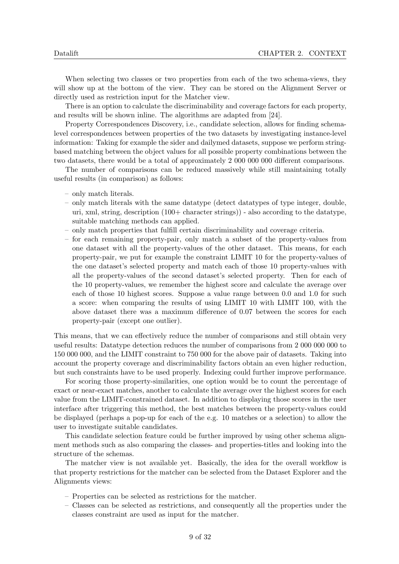When selecting two classes or two properties from each of the two schema-views, they will show up at the bottom of the view. They can be stored on the Alignment Server or directly used as restriction input for the Matcher view.

There is an option to calculate the discriminability and coverage factors for each property, and results will be shown inline. The algorithms are adapted from [24].

Property Correspondences Discovery, i.e., candidate selection, allows for finding schemalevel correspondences between properties of the two datasets by investigating instance-level information: Taking for example the sider and dailymed datasets, suppose we perform stringbased matching between the object values for all possible property combinations between the two datasets, there would be a total of approximately 2 000 000 000 different comparisons.

The number of comparisons can be reduced massively while still maintaining totally useful results (in comparison) as follows:

- only match literals.
- only match literals with the same datatype (detect datatypes of type integer, double, uri, xml, string, description (100+ character strings)) - also according to the datatype, suitable matching methods can applied.
- only match properties that fulfill certain discriminability and coverage criteria.
- for each remaining property-pair, only match a subset of the property-values from one dataset with all the property-values of the other dataset. This means, for each property-pair, we put for example the constraint LIMIT 10 for the property-values of the one dataset's selected property and match each of those 10 property-values with all the property-values of the second dataset's selected property. Then for each of the 10 property-values, we remember the highest score and calculate the average over each of those 10 highest scores. Suppose a value range between 0.0 and 1.0 for such a score: when comparing the results of using LIMIT 10 with LIMIT 100, with the above dataset there was a maximum difference of 0.07 between the scores for each property-pair (except one outlier).

This means, that we can effectively reduce the number of comparisons and still obtain very useful results: Datatype detection reduces the number of comparisons from 2 000 000 000 to 150 000 000, and the LIMIT constraint to 750 000 for the above pair of datasets. Taking into account the property coverage and discriminability factors obtain an even higher reduction, but such constraints have to be used properly. Indexing could further improve performance.

For scoring those property-similarities, one option would be to count the percentage of exact or near-exact matches, another to calculate the average over the highest scores for each value from the LIMIT-constrained dataset. In addition to displaying those scores in the user interface after triggering this method, the best matches between the property-values could be displayed (perhaps a pop-up for each of the e.g. 10 matches or a selection) to allow the user to investigate suitable candidates.

This candidate selection feature could be further improved by using other schema alignment methods such as also comparing the classes- and properties-titles and looking into the structure of the schemas.

The matcher view is not available yet. Basically, the idea for the overall workflow is that property restrictions for the matcher can be selected from the Dataset Explorer and the Alignments views:

- Properties can be selected as restrictions for the matcher.
- Classes can be selected as restrictions, and consequently all the properties under the classes constraint are used as input for the matcher.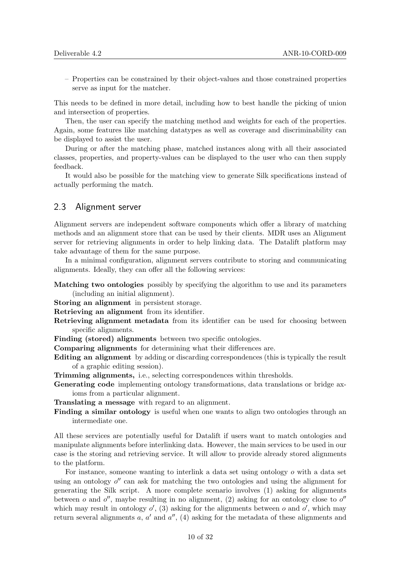– Properties can be constrained by their object-values and those constrained properties serve as input for the matcher.

This needs to be defined in more detail, including how to best handle the picking of union and intersection of properties.

Then, the user can specify the matching method and weights for each of the properties. Again, some features like matching datatypes as well as coverage and discriminability can be displayed to assist the user.

During or after the matching phase, matched instances along with all their associated classes, properties, and property-values can be displayed to the user who can then supply feedback.

It would also be possible for the matching view to generate Silk specifications instead of actually performing the match.

#### 2.3 Alignment server

Alignment servers are independent software components which offer a library of matching methods and an alignment store that can be used by their clients. MDR uses an Alignment server for retrieving alignments in order to help linking data. The Datalift platform may take advantage of them for the same purpose.

In a minimal configuration, alignment servers contribute to storing and communicating alignments. Ideally, they can offer all the following services:

- Matching two ontologies possibly by specifying the algorithm to use and its parameters (including an initial alignment).
- Storing an alignment in persistent storage.

Retrieving an alignment from its identifier.

- Retrieving alignment metadata from its identifier can be used for choosing between specific alignments.
- Finding (stored) alignments between two specific ontologies.
- Comparing alignments for determining what their differences are.
- Editing an alignment by adding or discarding correspondences (this is typically the result of a graphic editing session).
- Trimming alignments, i.e., selecting correspondences within thresholds.
- Generating code implementing ontology transformations, data translations or bridge axioms from a particular alignment.

Translating a message with regard to an alignment.

Finding a similar ontology is useful when one wants to align two ontologies through an intermediate one.

All these services are potentially useful for Datalift if users want to match ontologies and manipulate alignments before interlinking data. However, the main services to be used in our case is the storing and retrieving service. It will allow to provide already stored alignments to the platform.

For instance, someone wanting to interlink a data set using ontology o with a data set using an ontology  $o''$  can ask for matching the two ontologies and using the alignment for generating the Silk script. A more complete scenario involves (1) asking for alignments between o and  $o''$ , maybe resulting in no alignment, (2) asking for an ontology close to  $o''$ which may result in ontology  $o'$ , (3) asking for the alignments between  $o$  and  $o'$ , which may return several alignments  $a, a'$  and  $a''$ , (4) asking for the metadata of these alignments and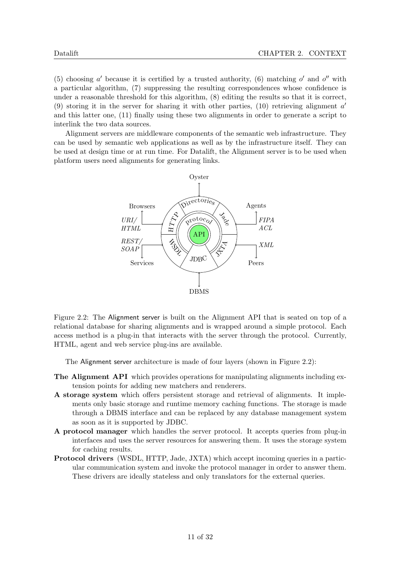(5) choosing  $a'$  because it is certified by a trusted authority, (6) matching  $o'$  and  $o''$  with a particular algorithm, (7) suppressing the resulting correspondences whose confidence is under a reasonable threshold for this algorithm, (8) editing the results so that it is correct, (9) storing it in the server for sharing it with other parties, (10) retrieving alignment  $a'$ and this latter one, (11) finally using these two alignments in order to generate a script to interlink the two data sources.

Alignment servers are middleware components of the semantic web infrastructure. They can be used by semantic web applications as well as by the infrastructure itself. They can be used at design time or at run time. For Datalift, the Alignment server is to be used when platform users need alignments for generating links.



Figure 2.2: The Alignment server is built on the Alignment API that is seated on top of a relational database for sharing alignments and is wrapped around a simple protocol. Each access method is a plug-in that interacts with the server through the protocol. Currently, HTML, agent and web service plug-ins are available.

The Alignment server architecture is made of four layers (shown in Figure 2.2):

- The Alignment API which provides operations for manipulating alignments including extension points for adding new matchers and renderers.
- A storage system which offers persistent storage and retrieval of alignments. It implements only basic storage and runtime memory caching functions. The storage is made through a DBMS interface and can be replaced by any database management system as soon as it is supported by JDBC.
- A protocol manager which handles the server protocol. It accepts queries from plug-in interfaces and uses the server resources for answering them. It uses the storage system for caching results.
- Protocol drivers (WSDL, HTTP, Jade, JXTA) which accept incoming queries in a particular communication system and invoke the protocol manager in order to answer them. These drivers are ideally stateless and only translators for the external queries.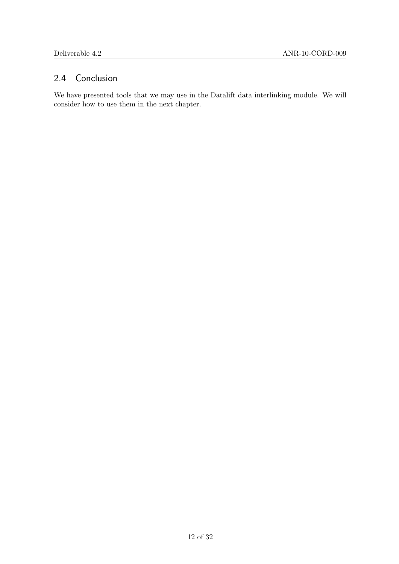### 2.4 Conclusion

We have presented tools that we may use in the Datalift data interlinking module. We will consider how to use them in the next chapter.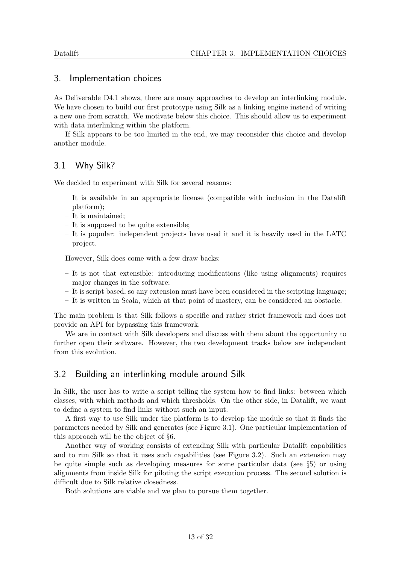#### 3. Implementation choices

As Deliverable D4.1 shows, there are many approaches to develop an interlinking module. We have chosen to build our first prototype using Silk as a linking engine instead of writing a new one from scratch. We motivate below this choice. This should allow us to experiment with data interlinking within the platform.

If Silk appears to be too limited in the end, we may reconsider this choice and develop another module.

#### 3.1 Why Silk?

We decided to experiment with Silk for several reasons:

- It is available in an appropriate license (compatible with inclusion in the Datalift platform);
- It is maintained;
- It is supposed to be quite extensible;
- It is popular: independent projects have used it and it is heavily used in the LATC project.

However, Silk does come with a few draw backs:

- It is not that extensible: introducing modifications (like using alignments) requires major changes in the software;
- It is script based, so any extension must have been considered in the scripting language;
- It is written in Scala, which at that point of mastery, can be considered an obstacle.

The main problem is that Silk follows a specific and rather strict framework and does not provide an API for bypassing this framework.

We are in contact with Silk developers and discuss with them about the opportunity to further open their software. However, the two development tracks below are independent from this evolution.

#### 3.2 Building an interlinking module around Silk

In Silk, the user has to write a script telling the system how to find links: between which classes, with which methods and which thresholds. On the other side, in Datalift, we want to define a system to find links without such an input.

A first way to use Silk under the platform is to develop the module so that it finds the parameters needed by Silk and generates (see Figure 3.1). One particular implementation of this approach will be the object of §6.

Another way of working consists of extending Silk with particular Datalift capabilities and to run Silk so that it uses such capabilities (see Figure 3.2). Such an extension may be quite simple such as developing measures for some particular data (see §5) or using alignments from inside Silk for piloting the script execution process. The second solution is difficult due to Silk relative closedness.

Both solutions are viable and we plan to pursue them together.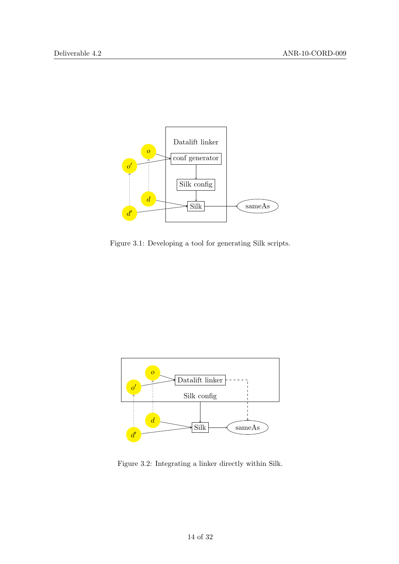

Figure 3.1: Developing a tool for generating Silk scripts.



Figure 3.2: Integrating a linker directly within Silk.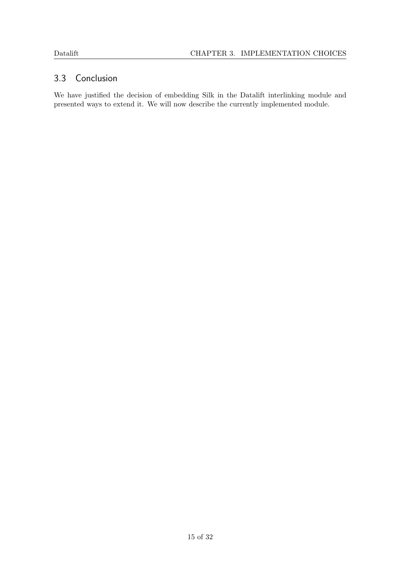### 3.3 Conclusion

We have justified the decision of embedding Silk in the Datalift interlinking module and presented ways to extend it. We will now describe the currently implemented module.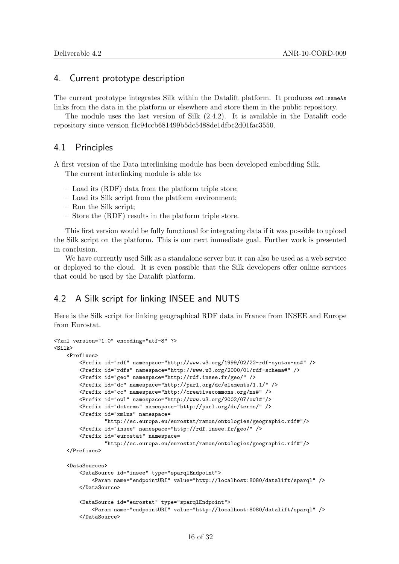#### 4. Current prototype description

The current prototype integrates Silk within the Datalift platform. It produces  $\omega$ 1:sameAs links from the data in the platform or elsewhere and store them in the public repository.

The module uses the last version of Silk (2.4.2). It is available in the Datalift code repository since version f1c94ccb681499b5dc5488de1dfbc2d01fac3550.

#### 4.1 Principles

A first version of the Data interlinking module has been developed embedding Silk. The current interlinking module is able to:

- Load its (RDF) data from the platform triple store;
- Load its Silk script from the platform environment;
- Run the Silk script;
- Store the (RDF) results in the platform triple store.

This first version would be fully functional for integrating data if it was possible to upload the Silk script on the platform. This is our next immediate goal. Further work is presented in conclusion.

We have currently used Silk as a standalone server but it can also be used as a web service or deployed to the cloud. It is even possible that the Silk developers offer online services that could be used by the Datalift platform.

#### 4.2 A Silk script for linking INSEE and NUTS

Here is the Silk script for linking geographical RDF data in France from INSEE and Europe from Eurostat.

```
<?xml version="1.0" encoding="utf-8" ?>
<Silk>
    <Prefixes>
        <Prefix id="rdf" namespace="http://www.w3.org/1999/02/22-rdf-syntax-ns#" />
        <Prefix id="rdfs" namespace="http://www.w3.org/2000/01/rdf-schema#" />
       <Prefix id="geo" namespace="http://rdf.insee.fr/geo/" />
       <Prefix id="dc" namespace="http://purl.org/dc/elements/1.1/" />
       <Prefix id="cc" namespace="http://creativecommons.org/ns#" />
       <Prefix id="owl" namespace="http://www.w3.org/2002/07/owl#"/>
       <Prefix id="dcterms" namespace="http://purl.org/dc/terms/" />
        <Prefix id="xmlns" namespace=
                "http://ec.europa.eu/eurostat/ramon/ontologies/geographic.rdf#"/>
        <Prefix id="insee" namespace="http://rdf.insee.fr/geo/" />
        <Prefix id="eurostat" namespace=
                "http://ec.europa.eu/eurostat/ramon/ontologies/geographic.rdf#"/>
    </Prefixes>
    <DataSources>
       <DataSource id="insee" type="sparqlEndpoint">
            <Param name="endpointURI" value="http://localhost:8080/datalift/sparql" />
        </DataSource>
        <DataSource id="eurostat" type="sparqlEndpoint">
            <Param name="endpointURI" value="http://localhost:8080/datalift/sparql" />
        </DataSource>
```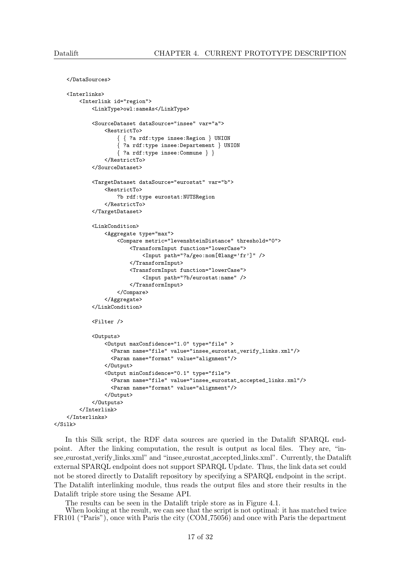</Interlinks>

 $\langle$ /Silk>

```
</DataSources>
<Interlinks>
    <Interlink id="region">
        <LinkType>owl:sameAs</LinkType>
        <SourceDataset dataSource="insee" var="a">
            <RestrictTo>
                { { ?a rdf:type insee:Region } UNION
                { ?a rdf:type insee:Departement } UNION
                { ?a rdf:type insee:Commune } }
            </RestrictTo>
        </SourceDataset>
        <TargetDataset dataSource="eurostat" var="b">
            <RestrictTo>
                ?b rdf:type eurostat:NUTSRegion
            </RestrictTo>
        </TargetDataset>
        <LinkCondition>
            <Aggregate type="max">
                <Compare metric="levenshteinDistance" threshold="0">
                    <TransformInput function="lowerCase">
                        <Input path="?a/geo:nom[@lang='fr']" />
                    </TransformInput>
                    <TransformInput function="lowerCase">
                        <Input path="?b/eurostat:name" />
                    </TransformInput>
                </Compare>
            </Aggregate>
        </LinkCondition>
        <Filter />
        <Outputs>
            <Output maxConfidence="1.0" type="file" >
              <Param name="file" value="insee_eurostat_verify_links.xml"/>
              <Param name="format" value="alignment"/>
            </Output>
            <Output minConfidence="0.1" type="file">
              <Param name="file" value="insee_eurostat_accepted_links.xml"/>
              <Param name="format" value="alignment"/>
            </Output>
        </Outputs>
    </Interlink>
```
In this Silk script, the RDF data sources are queried in the Datalift SPARQL endpoint. After the linking computation, the result is output as local files. They are, "insee eurostat verify links.xml" and "insee eurostat accepted links.xml". Currently, the Datalift external SPARQL endpoint does not support SPARQL Update. Thus, the link data set could not be stored directly to Datalift repository by specifying a SPARQL endpoint in the script. The Datalift interlinking module, thus reads the output files and store their results in the Datalift triple store using the Sesame API.

The results can be seen in the Datalift triple store as in Figure 4.1.

When looking at the result, we can see that the script is not optimal: it has matched twice FR101 ("Paris"), once with Paris the city (COM 75056) and once with Paris the department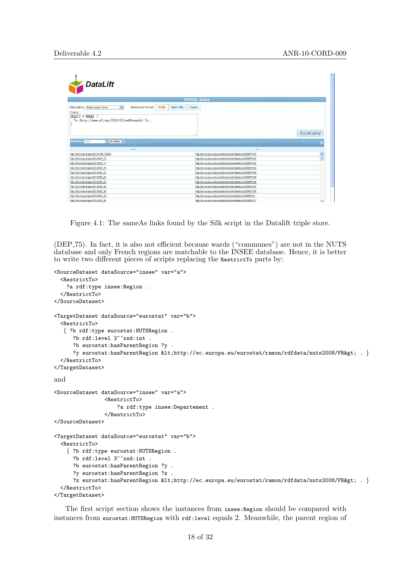|                                                                                                                                                                                                                                        | <b>SPARQL Query</b>                     |                                                           |               |
|----------------------------------------------------------------------------------------------------------------------------------------------------------------------------------------------------------------------------------------|-----------------------------------------|-----------------------------------------------------------|---------------|
| Repository: Published data<br>Response format:<br>$\checkmark$                                                                                                                                                                         | <b>HTML</b><br><b>RDF/XML</b><br>Turtle |                                                           |               |
| Query.                                                                                                                                                                                                                                 |                                         |                                                           |               |
| ?s <http: 07="" 2002="" owl#sameas="" www.w3.org=""> ?o.<br/>Search for Search<br/>All columns V</http:>                                                                                                                               |                                         |                                                           | Execute query |
| $s -$                                                                                                                                                                                                                                  |                                         | $\circ$                                                   |               |
| http://hdf.insee.fr/geo/2010/COM 75056                                                                                                                                                                                                 |                                         | http://ec.europa.eu/eurostat/ramon/rdfdata/nuts2008/FR101 |               |
| http://rdf.insee.fr/geo/2010/DEP_75                                                                                                                                                                                                    |                                         | http://ec.europa.eu/eurostat/ramon/rdfdata/nuts2008/FR101 |               |
| http://rdf.insee.fr/geo/2010/DEP 77                                                                                                                                                                                                    |                                         | http://ec.europa.eu/eurostat/ramon/rdfdata/nuts2008/FR102 |               |
|                                                                                                                                                                                                                                        |                                         |                                                           |               |
|                                                                                                                                                                                                                                        |                                         | http://ec.europa.eu/eurostat/ramon/rdfdata/nuts2008/FR103 |               |
|                                                                                                                                                                                                                                        |                                         | http://ec.europa.eu/eurostat/ramon/rdfdata/nuts2008/FR104 |               |
|                                                                                                                                                                                                                                        |                                         | http://ec.europa.eu/eurostat/ramon/rdfdata/nuts2008/FR105 |               |
|                                                                                                                                                                                                                                        |                                         | http://ec.europa.eu/eurostat/ramon/rdfdata/nuts2008/FR106 |               |
|                                                                                                                                                                                                                                        |                                         | http://ec.europa.eu/eurostat/ramon/rdfdata/nuts2008/FR107 |               |
| http://rdf.insee.fr/geo/2010/DEP_78<br>http://rdf.insee.fr/geo/2010/DEP_91<br>http://rdf.insee.fr/geo/2010/DEP_92<br>http://rdf.insee.fr/geo/2010/DEP_93<br>http://rdf.insee.fr/geo/2010/DEP_94<br>http://rdf.insee.fr/geo/2010/DEP_95 |                                         | http://ec.europa.eu/eurostat/ramon/rdfdata/nuts2008/FR108 |               |
| http://rdf.insee.fr/geo/2010/REG_21                                                                                                                                                                                                    |                                         | http://ec.europa.eu/eurostat/ramon/rdfdata/nuts2008/FR21  |               |

Figure 4.1: The sameAs links found by the Silk script in the Datalift triple store.

(DEP 75). In fact, it is also not efficient because wards ("communes") are not in the NUTS database and only French regions are matchable to the INSEE database. Hence, it is better to write two different pieces of scripts replacing the RestrictTo parts by:

```
<SourceDataset dataSource="insee" var="a">
  <RestrictTo>
    ?a rdf:type insee:Region .
  </RestrictTo>
</SourceDataset>
<TargetDataset dataSource="eurostat" var="b">
  <RestrictTo>
   { ?b rdf:type eurostat:NUTSRegion .
     ?b rdf:level 2^^xsd:int .
      ?b eurostat:hasParentRegion ?y .
      ?y eurostat:hasParentRegion <http://ec.europa.eu/eurostat/ramon/rdfdata/nuts2008/FR&gt; . }
  </RestrictTo>
</TargetDataset>
and
<SourceDataset dataSource="insee" var="a">
                <RestrictTo>
                    ?a rdf:type insee:Departement .
                </RestrictTo>
</SourceDataset>
<TargetDataset dataSource="eurostat" var="b">
  <RestrictTo>
    { ?b rdf:type eurostat:NUTSRegion .
      ?b rdf:level 3^^xsd:int .
      ?b eurostat:hasParentRegion ?y .
      ?y eurostat:hasParentRegion ?z .
      ?z eurostat:hasParentRegion <http://ec.europa.eu/eurostat/ramon/rdfdata/nuts2008/FR&gt; . }
  </RestrictTo>
</TargetDataset>
```
The first script section shows the instances from insee: Region should be compared with instances from eurostat:NUTSRegion with rdf:level equals 2. Meanwhile, the parent region of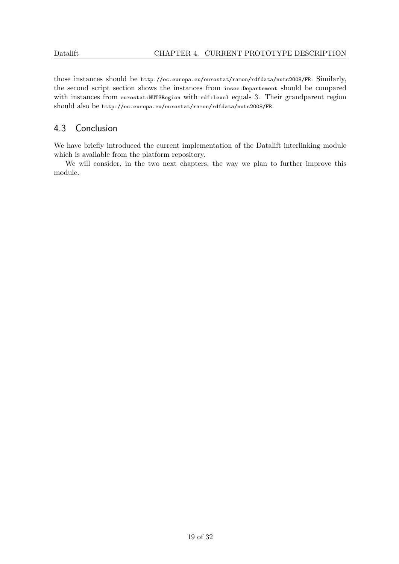those instances should be http://ec.europa.eu/eurostat/ramon/rdfdata/nuts2008/FR. Similarly, the second script section shows the instances from insee:Departement should be compared with instances from eurostat:NUTSRegion with rdf:level equals 3. Their grandparent region should also be http://ec.europa.eu/eurostat/ramon/rdfdata/nuts2008/FR.

#### 4.3 Conclusion

We have briefly introduced the current implementation of the Datalift interlinking module which is available from the platform repository.

We will consider, in the two next chapters, the way we plan to further improve this module.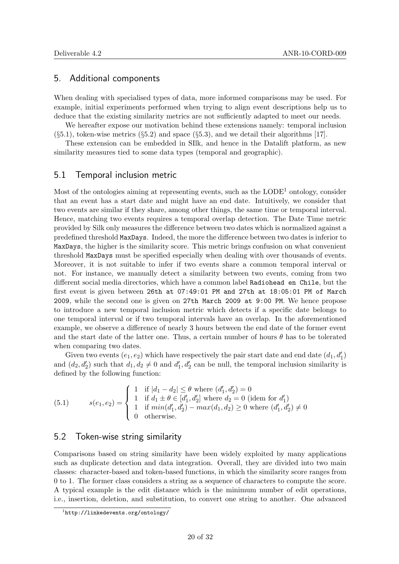#### 5. Additional components

When dealing with specialised types of data, more informed comparisons may be used. For example, initial experiments performed when trying to align event descriptions help us to deduce that the existing similarity metrics are not sufficiently adapted to meet our needs.

We hereafter expose our motivation behind these extensions namely: temporal inclusion  $(\S 5.1)$ , token-wise metrics  $(\S 5.2)$  and space  $(\S 5.3)$ , and we detail their algorithms [17].

These extension can be embedded in SIlk, and hence in the Datalift platform, as new similarity measures tied to some data types (temporal and geographic).

#### 5.1 Temporal inclusion metric

Most of the ontologies aiming at representing events, such as the  $\text{LODE}^1$  ontology, consider that an event has a start date and might have an end date. Intuitively, we consider that two events are similar if they share, among other things, the same time or temporal interval. Hence, matching two events requires a temporal overlap detection. The Date Time metric provided by Silk only measures the difference between two dates which is normalized against a predefined threshold MaxDays. Indeed, the more the difference between two dates is inferior to MaxDays, the higher is the similarity score. This metric brings confusion on what convenient threshold MaxDays must be specified especially when dealing with over thousands of events. Moreover, it is not suitable to infer if two events share a common temporal interval or not. For instance, we manually detect a similarity between two events, coming from two different social media directories, which have a common label Radiohead en Chile, but the first event is given between 26th at 07:49:01 PM and 27th at 18:05:01 PM of March 2009, while the second one is given on 27th March 2009 at 9:00 PM. We hence propose to introduce a new temporal inclusion metric which detects if a specific date belongs to one temporal interval or if two temporal intervals have an overlap. In the aforementioned example, we observe a difference of nearly 3 hours between the end date of the former event and the start date of the latter one. Thus, a certain number of hours  $\theta$  has to be tolerated when comparing two dates.

Given two events  $(e_1, e_2)$  which have respectively the pair start date and end date  $(d_1, d'_1)$ and  $(d_2, d'_2)$  such that  $d_1, d_2 \neq 0$  and  $d'_1, d'_2$  can be null, the temporal inclusion similarity is defined by the following function:

(5.1) 
$$
s(e_1, e_2) = \begin{cases} 1 & \text{if } |d_1 - d_2| \le \theta \text{ where } (d'_1, d'_2) = 0 \\ 1 & \text{if } d_1 \pm \theta \in [d'_1, d'_2] \text{ where } d_2 = 0 \text{ (idem for } d'_1) \\ 1 & \text{if } min(d'_1, d'_2) - max(d_1, d_2) \ge 0 \text{ where } (d'_1, d'_2) \ne 0 \\ 0 & \text{otherwise.} \end{cases}
$$

#### 5.2 Token-wise string similarity

Comparisons based on string similarity have been widely exploited by many applications such as duplicate detection and data integration. Overall, they are divided into two main classes: character-based and token-based functions, in which the similarity score ranges from 0 to 1. The former class considers a string as a sequence of characters to compute the score. A typical example is the edit distance which is the minimum number of edit operations, i.e., insertion, deletion, and substitution, to convert one string to another. One advanced

<sup>1</sup> http://linkedevents.org/ontology/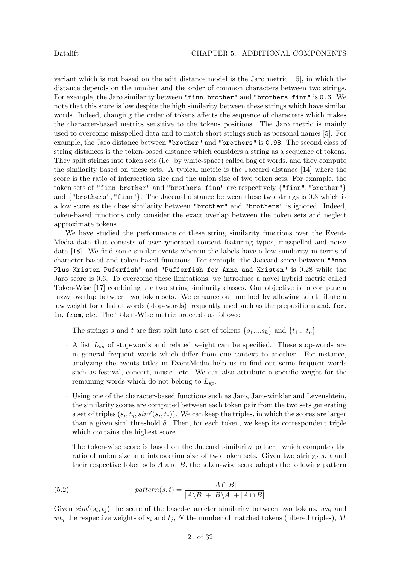variant which is not based on the edit distance model is the Jaro metric [15], in which the distance depends on the number and the order of common characters between two strings. For example, the Jaro similarity between "finn brother" and "brothers finn" is 0.6. We note that this score is low despite the high similarity between these strings which have similar words. Indeed, changing the order of tokens affects the sequence of characters which makes the character-based metrics sensitive to the tokens positions. The Jaro metric is mainly used to overcome misspelled data and to match short strings such as personal names [5]. For example, the Jaro distance between "brother" and "brothers" is 0.98. The second class of string distances is the token-based distance which considers a string as a sequence of tokens. They split strings into token sets (i.e. by white-space) called bag of words, and they compute the similarity based on these sets. A typical metric is the Jaccard distance [14] where the score is the ratio of intersection size and the union size of two token sets. For example, the token sets of "finn brother" and "brothers finn" are respectively {"finn", "brother"} and {"brothers", "finn"}. The Jaccard distance between these two strings is 0.3 which is a low score as the close similarity between "brother" and "brothers" is ignored. Indeed, token-based functions only consider the exact overlap between the token sets and neglect approximate tokens.

We have studied the performance of these string similarity functions over the Event-Media data that consists of user-generated content featuring typos, misspelled and noisy data [18]. We find some similar events wherein the labels have a low similarity in terms of character-based and token-based functions. For example, the Jaccard score between "Anna Plus Kristen Puferfish" and "Pufferfish for Anna and Kristen" is 0.28 while the Jaro score is 0.6. To overcome these limitations, we introduce a novel hybrid metric called Token-Wise [17] combining the two string similarity classes. Our objective is to compute a fuzzy overlap between two token sets. We enhance our method by allowing to attribute a low weight for a list of words (stop-words) frequently used such as the prepositions and, for, in, from, etc. The Token-Wise metric proceeds as follows:

- The strings s and t are first split into a set of tokens  $\{s_1,...s_k\}$  and  $\{t_1,...t_p\}$
- A list  $L_{sp}$  of stop-words and related weight can be specified. These stop-words are in general frequent words which differ from one context to another. For instance, analyzing the events titles in EventMedia help us to find out some frequent words such as festival, concert, music. etc. We can also attribute a specific weight for the remaining words which do not belong to  $L_{sp}$ .
- Using one of the character-based functions such as Jaro, Jaro-winkler and Levenshtein, the similarity scores are computed between each token pair from the two sets generating a set of triples  $(s_i, t_j, sim'(s_i, t_j))$ . We can keep the triples, in which the scores are larger than a given sim' threshold  $\delta$ . Then, for each token, we keep its correspondent triple which contains the highest score.
- The token-wise score is based on the Jaccard similarity pattern which computes the ratio of union size and intersection size of two token sets. Given two strings s, t and their respective token sets  $A$  and  $B$ , the token-wise score adopts the following pattern

(5.2) 
$$
pattern(s,t) = \frac{|A \cap B|}{|A \setminus B| + |B \setminus A| + |A \cap B|}
$$

Given  $sim'(s_i, t_j)$  the score of the based-character similarity between two tokens,  $ws_i$  and  $wt_i$  the respective weights of  $s_i$  and  $t_j$ , N the number of matched tokens (filtered triples), M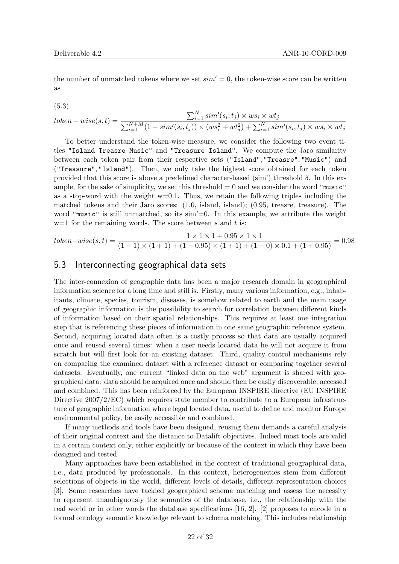the number of unmatched tokens where we set  $sim' = 0$ , the token-wise score can be written as

$$
(5.3)
$$

$$
token-wise(s, t) = \frac{\sum_{i=1}^{N} sim'(s_i, t_j) \times ws_i \times wt_j}{\sum_{i=1}^{N+M} (1 - sim'(s_i, t_j)) \times (ws_i^2 + wt_j^2) + \sum_{i=1}^{N} sim'(s_i, t_j) \times ws_i \times wt_j}
$$

To better understand the token-wise measure, we consider the following two event titles "Island Treasre Music" and "Treasure Island". We compute the Jaro similarity between each token pair from their respective sets ("Island", "Treasre", "Music") and ("Treasure", "Island"). Then, we only take the highest score obtained for each token provided that this score is above a predefined character-based (sim') threshold  $\delta$ . In this example, for the sake of simplicity, we set this threshold  $= 0$  and we consider the word "music" as a stop-word with the weight  $w=0.1$ . Thus, we retain the following triples including the matched tokens and their Jaro scores: (1.0, island, island); (0.95, treasre, treasure). The word "music" is still unmatched, so its sim'=0. In this example, we attribute the weight  $w=1$  for the remaining words. The score between s and t is:

$$
token-wise(s, t) = \frac{1 \times 1 \times 1 + 0.95 \times 1 \times 1}{(1 - 1) \times (1 + 1) + (1 - 0.95) \times (1 + 1) + (1 - 0) \times 0.1 + (1 + 0.95)} = 0.98
$$

#### 5.3 Interconnecting geographical data sets

The inter-connexion of geographic data has been a major research domain in geographical information science for a long time and still is. Firstly, many various information, e.g., inhabitants, climate, species, tourism, diseases, is somehow related to earth and the main usage of geographic information is the possibility to search for correlation between different kinds of information based on their spatial relationships. This requires at least one integration step that is referencing these pieces of information in one same geographic reference system. Second, acquiring located data often is a costly process so that data are usually acquired once and reused several times: when a user needs located data he will not acquire it from scratch but will first look for an existing dataset. Third, quality control mechanisms rely on comparing the examined dataset with a reference dataset or comparing together several datasets. Eventually, one current "linked data on the web" argument is shared with geographical data: data should be acquired once and should then be easily discoverable, accessed and combined. This has been reinforced by the European INSPIRE directive (EU INSPIRE Directive 2007/2/EC) which requires state member to contribute to a European infrastructure of geographic information where legal located data, useful to define and monitor Europe environmental policy, be easily accessible and combined.

If many methods and tools have been designed, reusing them demands a careful analysis of their original context and the distance to Datalift objectives. Indeed most tools are valid in a certain context only, either explicitly or because of the context in which they have been designed and tested.

Many approaches have been established in the context of traditional geographical data, i.e., data produced by professionals. In this context, heterogeneities stem from different selections of objects in the world, different levels of details, different representation choices [3]. Some researches have tackled geographical schema matching and assess the necessity to represent unambiguously the semantics of the database, i.e., the relationship with the real world or in other words the database specifications [16, 2]. [2] proposes to encode in a formal ontology semantic knowledge relevant to schema matching. This includes relationship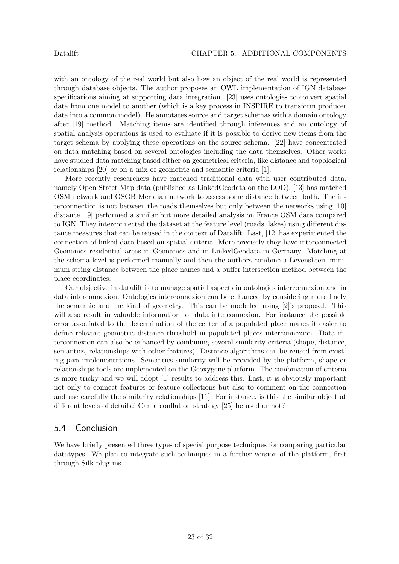with an ontology of the real world but also how an object of the real world is represented through database objects. The author proposes an OWL implementation of IGN database specifications aiming at supporting data integration. [23] uses ontologies to convert spatial data from one model to another (which is a key process in INSPIRE to transform producer data into a common model). He annotates source and target schemas with a domain ontology after [19] method. Matching items are identified through inferences and an ontology of spatial analysis operations is used to evaluate if it is possible to derive new items from the target schema by applying these operations on the source schema. [22] have concentrated on data matching based on several ontologies including the data themselves. Other works have studied data matching based either on geometrical criteria, like distance and topological relationships [20] or on a mix of geometric and semantic criteria [1].

More recently researchers have matched traditional data with user contributed data, namely Open Street Map data (published as LinkedGeodata on the LOD). [13] has matched OSM network and OSGB Meridian network to assess some distance between both. The interconnection is not between the roads themselves but only between the networks using [10] distance. [9] performed a similar but more detailed analysis on France OSM data compared to IGN. They interconnected the dataset at the feature level (roads, lakes) using different distance measures that can be reused in the context of Datalift. Last, [12] has experimented the connection of linked data based on spatial criteria. More precisely they have interconnected Geonames residential areas in Geonames and in LinkedGeodata in Germany. Matching at the schema level is performed manually and then the authors combine a Levenshtein minimum string distance between the place names and a buffer intersection method between the place coordinates.

Our objective in datalift is to manage spatial aspects in ontologies interconnexion and in data interconnexion. Ontologies interconnexion can be enhanced by considering more finely the semantic and the kind of geometry. This can be modelled using [2]'s proposal. This will also result in valuable information for data interconnexion. For instance the possible error associated to the determination of the center of a populated place makes it easier to define relevant geometric distance threshold in populated places interconnexion. Data interconnexion can also be enhanced by combining several similarity criteria (shape, distance, semantics, relationships with other features). Distance algorithms can be reused from existing java implementations. Semantics similarity will be provided by the platform, shape or relationships tools are implemented on the Geoxygene platform. The combination of criteria is more tricky and we will adopt [1] results to address this. Last, it is obviously important not only to connect features or feature collections but also to comment on the connection and use carefully the similarity relationships [11]. For instance, is this the similar object at different levels of details? Can a conflation strategy [25] be used or not?

#### 5.4 Conclusion

We have briefly presented three types of special purpose techniques for comparing particular datatypes. We plan to integrate such techniques in a further version of the platform, first through Silk plug-ins.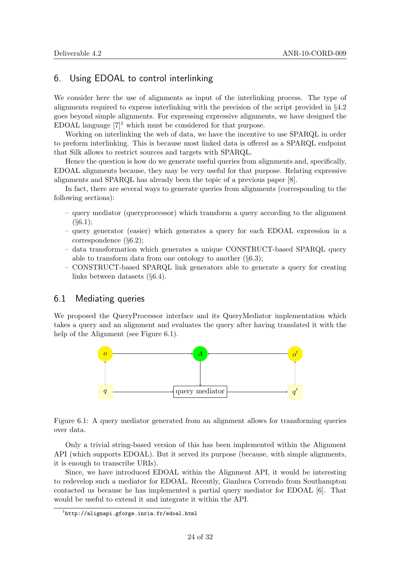#### 6. Using EDOAL to control interlinking

We consider here the use of alignments as input of the interlinking process. The type of alignments required to express interlinking with the precision of the script provided in §4.2 goes beyond simple alignments. For expressing expressive alignments, we have designed the EDOAL language  $[7]^1$  which must be considered for that purpose.

Working on interlinking the web of data, we have the incentive to use SPARQL in order to preform interlinking. This is because most linked data is offered as a SPARQL endpoint that Silk allows to restrict sources and targets with SPARQL.

Hence the question is how do we generate useful queries from alignments and, specifically, EDOAL alignments because, they may be very useful for that purpose. Relating expressive alignments and SPARQL has already been the topic of a previous paper [8].

In fact, there are several ways to generate queries from alignments (corresponding to the following sections):

- query mediator (queryprocessor) which transform a query according to the alignment  $(§6.1);$
- query generator (easier) which generates a query for each EDOAL expression in a correspondence (§6.2);
- data transformation which generates a unique CONSTRUCT-based SPARQL query able to transform data from one ontology to another  $(\S 6.3);$
- CONSTRUCT-based SPARQL link generators able to generate a query for creating links between datasets (§6.4).

#### 6.1 Mediating queries

We proposed the QueryProcessor interface and its QueryMediator implementation which takes a query and an alignment and evaluates the query after having translated it with the help of the Alignment (see Figure 6.1).



Figure 6.1: A query mediator generated from an alignment allows for transforming queries over data.

Only a trivial string-based version of this has been implemented within the Alignment API (which supports EDOAL). But it served its purpose (because, with simple alignments, it is enough to transcribe URIs).

Since, we have introduced EDOAL within the Alignment API, it would be interesting to redevelop such a mediator for EDOAL. Recently, Gianluca Correndo from Southampton contacted us because he has implemented a partial query mediator for EDOAL [6]. That would be useful to extend it and integrate it within the API.

<sup>1</sup> http://alignapi.gforge.inria.fr/edoal.html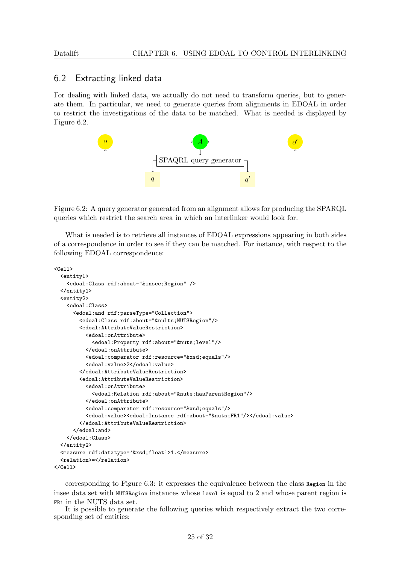#### 6.2 Extracting linked data

For dealing with linked data, we actually do not need to transform queries, but to generate them. In particular, we need to generate queries from alignments in EDOAL in order to restrict the investigations of the data to be matched. What is needed is displayed by Figure 6.2.



Figure 6.2: A query generator generated from an alignment allows for producing the SPARQL queries which restrict the search area in which an interlinker would look for.

What is needed is to retrieve all instances of EDOAL expressions appearing in both sides of a correspondence in order to see if they can be matched. For instance, with respect to the following EDOAL correspondence:

```
<sub>ch11</sub></sub>
  <entity1>
    <edoal:Class rdf:about="&insee;Region" />
  </entity1>
  <entity2>
    <edoal:Class>
      <edoal:and rdf:parseType="Collection">
        <edoal:Class rdf:about="&nults;NUTSRegion"/>
        <edoal:AttributeValueRestriction>
          <edoal:onAttribute>
            <edoal:Property rdf:about="&nuts;level"/>
          </edoal:onAttribute>
          <edoal:comparator rdf:resource="&xsd;equals"/>
          <edoal:value>2</edoal:value>
        </edoal:AttributeValueRestriction>
        <edoal:AttributeValueRestriction>
          <edoal:onAttribute>
            <edoal:Relation rdf:about="&nuts;hasParentRegion"/>
          </edoal:onAttribute>
          <edoal:comparator rdf:resource="&xsd;equals"/>
          <edoal:value><edoal:Instance rdf:about="&nuts;FR1"/></edoal:value>
        </edoal:AttributeValueRestriction>
      </edoal:and>
    </edoal:Class>
  </entity2>
  <measure rdf:datatype='&xsd;float'>1.</measure>
  <relation>=</relation>
\langleCell>
```
corresponding to Figure 6.3: it expresses the equivalence between the class Region in the insee data set with NUTSRegion instances whose level is equal to 2 and whose parent region is FR1 in the NUTS data set.

It is possible to generate the following queries which respectively extract the two corresponding set of entities: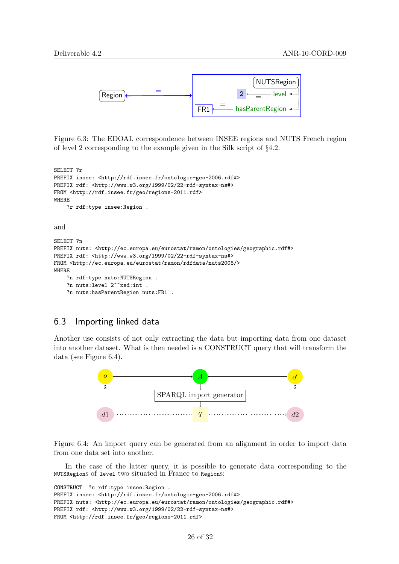

Figure 6.3: The EDOAL correspondence between INSEE regions and NUTS French region of level 2 corresponding to the example given in the Silk script of §4.2.

SELECT ?r PREFIX insee: <http://rdf.insee.fr/ontologie-geo-2006.rdf#> PREFIX rdf: <http://www.w3.org/1999/02/22-rdf-syntax-ns#> FROM <http://rdf.insee.fr/geo/regions-2011.rdf> WHERE ?r rdf:type insee:Region . and SELECT ?n

```
PREFIX nuts: <http://ec.europa.eu/eurostat/ramon/ontologies/geographic.rdf#>
PREFIX rdf: <http://www.w3.org/1999/02/22-rdf-syntax-ns#>
FROM <http://ec.europa.eu/eurostat/ramon/rdfdata/nuts2008/>
WHERE
    ?n rdf:type nuts:NUTSRegion .
    ?n nuts:level 2^^xsd:int .
    ?n nuts:hasParentRegion nuts:FR1 .
```
#### 6.3 Importing linked data

Another use consists of not only extracting the data but importing data from one dataset into another dataset. What is then needed is a CONSTRUCT query that will transform the data (see Figure 6.4).



Figure 6.4: An import query can be generated from an alignment in order to import data from one data set into another.

In the case of the latter query, it is possible to generate data corresponding to the NUTSRegions of level two situated in France to Regions:

```
CONSTRUCT ?n rdf:type insee:Region .
PREFIX insee: <http://rdf.insee.fr/ontologie-geo-2006.rdf#>
PREFIX nuts: <http://ec.europa.eu/eurostat/ramon/ontologies/geographic.rdf#>
PREFIX rdf: <http://www.w3.org/1999/02/22-rdf-syntax-ns#>
FROM <http://rdf.insee.fr/geo/regions-2011.rdf>
```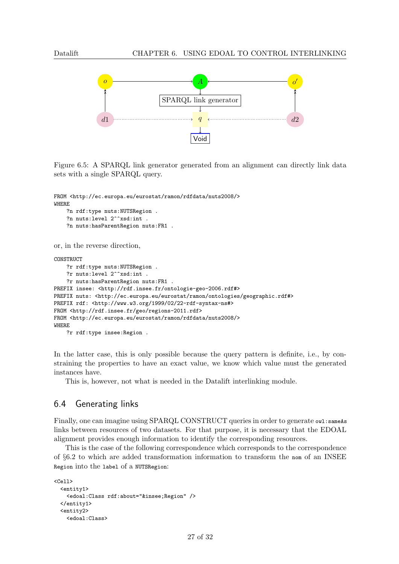

Figure 6.5: A SPARQL link generator generated from an alignment can directly link data sets with a single SPARQL query.

```
FROM <http://ec.europa.eu/eurostat/ramon/rdfdata/nuts2008/>
WHERE
    ?n rdf:type nuts:NUTSRegion .
```

```
?n nuts:level 2^^xsd:int .
    ?n nuts:hasParentRegion nuts:FR1 .
or, in the reverse direction,
CONSTRUCT
    ?r rdf:type nuts:NUTSRegion .
    ?r nuts:level 2^^xsd:int .
    ?r nuts:hasParentRegion nuts:FR1 .
PREFIX insee: <http://rdf.insee.fr/ontologie-geo-2006.rdf#>
PREFIX nuts: <http://ec.europa.eu/eurostat/ramon/ontologies/geographic.rdf#>
PREFIX rdf: <http://www.w3.org/1999/02/22-rdf-syntax-ns#>
FROM <http://rdf.insee.fr/geo/regions-2011.rdf>
FROM <http://ec.europa.eu/eurostat/ramon/rdfdata/nuts2008/>
WHERE
    ?r rdf:type insee:Region .
```
In the latter case, this is only possible because the query pattern is definite, i.e., by constraining the properties to have an exact value, we know which value must the generated instances have.

This is, however, not what is needed in the Datalift interlinking module.

#### 6.4 Generating links

Finally, one can imagine using SPARQL CONSTRUCT queries in order to generate owl:sameAs links between resources of two datasets. For that purpose, it is necessary that the EDOAL alignment provides enough information to identify the corresponding resources.

This is the case of the following correspondence which corresponds to the correspondence of §6.2 to which are added transformation information to transform the nom of an INSEE Region into the label of a NUTSRegion:

```
<sub>cell</sub></sub>
  <entity1>
    <edoal:Class rdf:about="&insee;Region" />
  </entity1>
  <entity2>
    <edoal:Class>
```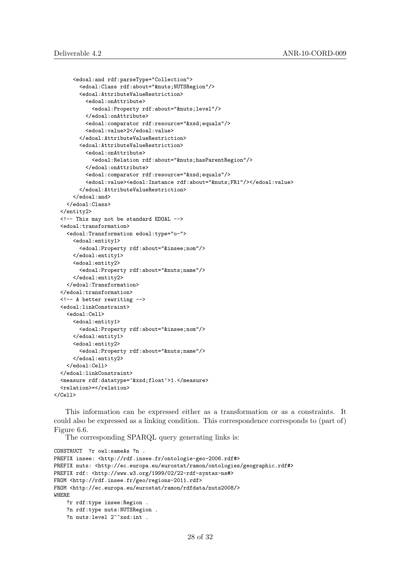```
<edoal:and rdf:parseType="Collection">
        <edoal:Class rdf:about="&nuts;NUTSRegion"/>
        <edoal:AttributeValueRestriction>
          <edoal:onAttribute>
            <edoal:Property rdf:about="&nuts;level"/>
          </edoal:onAttribute>
          <edoal:comparator rdf:resource="&xsd;equals"/>
          <edoal:value>2</edoal:value>
        </edoal:AttributeValueRestriction>
        <edoal:AttributeValueRestriction>
          <edoal:onAttribute>
            <edoal:Relation rdf:about="&nuts;hasParentRegion"/>
          </edoal:onAttribute>
          <edoal:comparator rdf:resource="&xsd;equals"/>
          <edoal:value><edoal:Instance rdf:about="&nuts;FR1"/></edoal:value>
        </edoal:AttributeValueRestriction>
      </edoal:and>
    </edoal:Class>
 </entity2>
 <!-- This may not be standard EDOAL -->
 <edoal:transformation>
    <edoal:Transformation edoal:type="o-">
      <edoal:entity1>
        <edoal:Property rdf:about="&insee;nom"/>
      </edoal:entity1>
      <edoal:entity2>
        <edoal:Property rdf:about="&nuts;name"/>
      </edoal:entity2>
    </edoal:Transformation>
 </edoal:transformation>
 <!-- A better rewriting -->
 <edoal:linkConstraint>
    <edoal:Cell>
      <edoal:entity1>
        <edoal:Property rdf:about="&insee;nom"/>
      </edoal:entity1>
      <edoal:entity2>
        <edoal:Property rdf:about="&nuts;name"/>
      </edoal:entity2>
    </edoal:Cell>
 </edoal:linkConstraint>
 <measure rdf:datatype='&xsd;float'>1.</measure>
 <relation> =</relation>
\langle/Cell>
```
This information can be expressed either as a transformation or as a constraints. It could also be expressed as a linking condition. This correspondence corresponds to (part of) Figure 6.6.

The corresponding SPARQL query generating links is:

```
CONSTRUCT ?r owl:sameAs ?n .
PREFIX insee: <http://rdf.insee.fr/ontologie-geo-2006.rdf#>
PREFIX nuts: <http://ec.europa.eu/eurostat/ramon/ontologies/geographic.rdf#>
PREFIX rdf: <http://www.w3.org/1999/02/22-rdf-syntax-ns#>
FROM <http://rdf.insee.fr/geo/regions-2011.rdf>
FROM <http://ec.europa.eu/eurostat/ramon/rdfdata/nuts2008/>
WHERE
    ?r rdf:type insee:Region .
    ?n rdf:type nuts:NUTSRegion .
    ?n nuts:level 2^^xsd:int .
```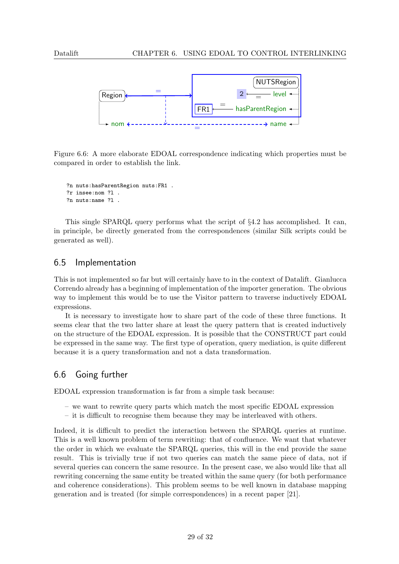

Figure 6.6: A more elaborate EDOAL correspondence indicating which properties must be compared in order to establish the link.

```
?n nuts:hasParentRegion nuts:FR1 .
?r insee:nom ?l .
?n nuts:name ?l .
```
This single SPARQL query performs what the script of §4.2 has accomplished. It can, in principle, be directly generated from the correspondences (similar Silk scripts could be generated as well).

#### 6.5 Implementation

This is not implemented so far but will certainly have to in the context of Datalift. Gianlucca Correndo already has a beginning of implementation of the importer generation. The obvious way to implement this would be to use the Visitor pattern to traverse inductively EDOAL expressions.

It is necessary to investigate how to share part of the code of these three functions. It seems clear that the two latter share at least the query pattern that is created inductively on the structure of the EDOAL expression. It is possible that the CONSTRUCT part could be expressed in the same way. The first type of operation, query mediation, is quite different because it is a query transformation and not a data transformation.

#### 6.6 Going further

EDOAL expression transformation is far from a simple task because:

- we want to rewrite query parts which match the most specific EDOAL expression
- it is difficult to recognise them because they may be interleaved with others.

Indeed, it is difficult to predict the interaction between the SPARQL queries at runtime. This is a well known problem of term rewriting: that of confluence. We want that whatever the order in which we evaluate the SPARQL queries, this will in the end provide the same result. This is trivially true if not two queries can match the same piece of data, not if several queries can concern the same resource. In the present case, we also would like that all rewriting concerning the same entity be treated within the same query (for both performance and coherence considerations). This problem seems to be well known in database mapping generation and is treated (for simple correspondences) in a recent paper [21].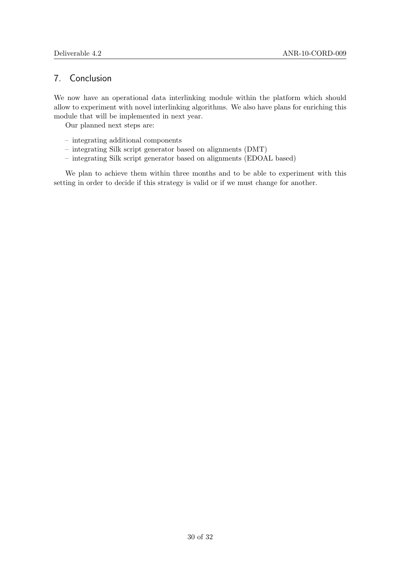#### 7. Conclusion

We now have an operational data interlinking module within the platform which should allow to experiment with novel interlinking algorithms. We also have plans for enriching this module that will be implemented in next year.

Our planned next steps are:

- integrating additional components
- integrating Silk script generator based on alignments (DMT)
- integrating Silk script generator based on alignments (EDOAL based)

We plan to achieve them within three months and to be able to experiment with this setting in order to decide if this strategy is valid or if we must change for another.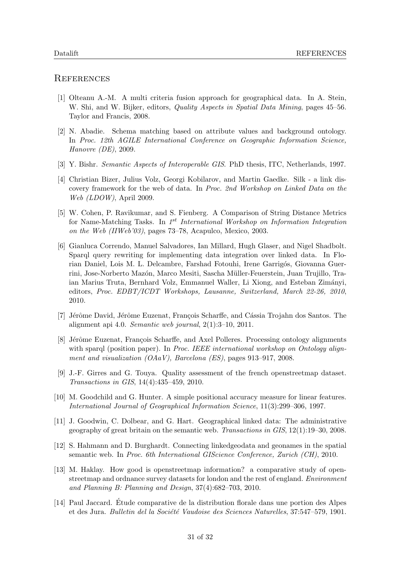#### **REFERENCES**

- [1] Olteanu A.-M. A multi criteria fusion approach for geographical data. In A. Stein, W. Shi, and W. Bijker, editors, *Quality Aspects in Spatial Data Mining*, pages 45–56. Taylor and Francis, 2008.
- [2] N. Abadie. Schema matching based on attribute values and background ontology. In Proc. 12th AGILE International Conference on Geographic Information Science, Hanovre (DE), 2009.
- [3] Y. Bishr. Semantic Aspects of Interoperable GIS. PhD thesis, ITC, Netherlands, 1997.
- [4] Christian Bizer, Julius Volz, Georgi Kobilarov, and Martin Gaedke. Silk a link discovery framework for the web of data. In Proc. 2nd Workshop on Linked Data on the Web (LDOW), April 2009.
- [5] W. Cohen, P. Ravikumar, and S. Fienberg. A Comparison of String Distance Metrics for Name-Matching Tasks. In 1<sup>st</sup> International Workshop on Information Integration on the Web (IIWeb'03), pages 73–78, Acapulco, Mexico, 2003.
- [6] Gianluca Correndo, Manuel Salvadores, Ian Millard, Hugh Glaser, and Nigel Shadbolt. Sparql query rewriting for implementing data integration over linked data. In Florian Daniel, Lois M. L. Delcambre, Farshad Fotouhi, Irene Garrigós, Giovanna Guerrini, Jose-Norberto Mazón, Marco Mesiti, Sascha Müller-Feuerstein, Juan Trujillo, Traian Marius Truta, Bernhard Volz, Emmanuel Waller, Li Xiong, and Esteban Zimányi, editors, Proc. EDBT/ICDT Workshops, Lausanne, Switzerland, March 22-26, 2010, 2010.
- [7] Jérôme David, Jérôme Euzenat, François Scharffe, and Cássia Trojahn dos Santos. The alignment api 4.0. Semantic web journal, 2(1):3–10, 2011.
- [8] Jérôme Euzenat, François Scharffe, and Axel Polleres. Processing ontology alignments with sparal (position paper). In Proc. IEEE international workshop on Ontology alignment and visualization  $(OAaV)$ , Barcelona (ES), pages 913–917, 2008.
- [9] J.-F. Girres and G. Touya. Quality assessment of the french openstreetmap dataset. Transactions in GIS, 14(4):435–459, 2010.
- [10] M. Goodchild and G. Hunter. A simple positional accuracy measure for linear features. International Journal of Geographical Information Science, 11(3):299–306, 1997.
- [11] J. Goodwin, C. Dolbear, and G. Hart. Geographical linked data: The administrative geography of great britain on the semantic web. Transactions in GIS, 12(1):19–30, 2008.
- [12] S. Hahmann and D. Burghardt. Connecting linkedgeodata and geonames in the spatial semantic web. In Proc. 6th International GIScience Conference, Zurich (CH), 2010.
- [13] M. Haklay. How good is openstreetmap information? a comparative study of openstreetmap and ordnance survey datasets for london and the rest of england. Environment and Planning B: Planning and Design, 37(4):682–703, 2010.
- [14] Paul Jaccard. Etude comparative de la distribution florale dans une portion des Alpes ´ et des Jura. Bulletin del la Société Vaudoise des Sciences Naturelles, 37:547–579, 1901.